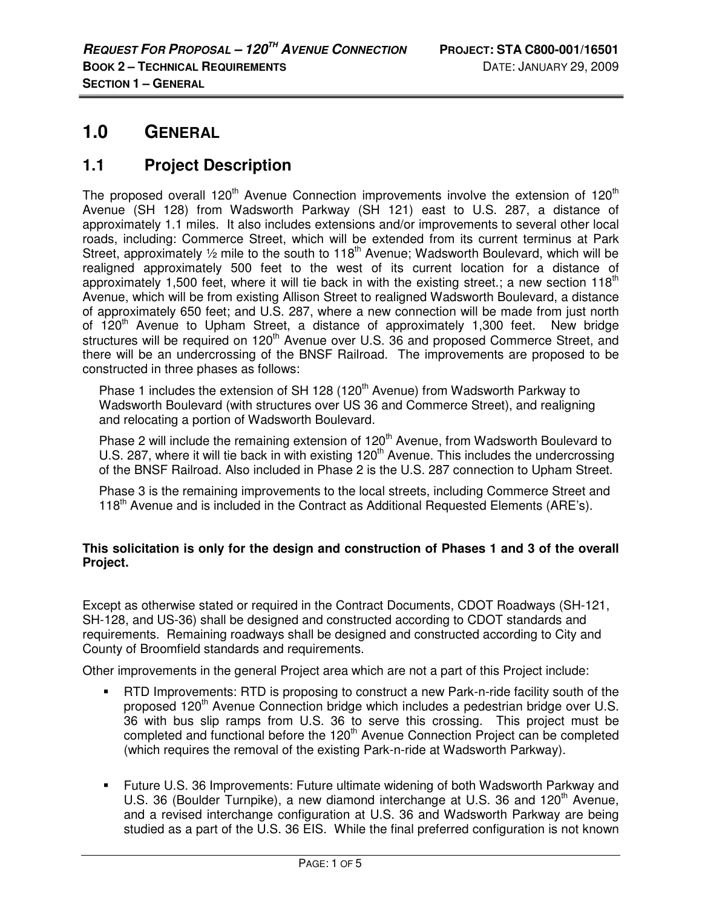# **1.0 GENERAL**

## **1.1 Project Description**

The proposed overall  $120<sup>th</sup>$  Avenue Connection improvements involve the extension of  $120<sup>th</sup>$ Avenue (SH 128) from Wadsworth Parkway (SH 121) east to U.S. 287, a distance of approximately 1.1 miles. It also includes extensions and/or improvements to several other local roads, including: Commerce Street, which will be extended from its current terminus at Park Street, approximately  $\frac{1}{2}$  mile to the south to 118<sup>th</sup> Avenue; Wadsworth Boulevard, which will be realigned approximately 500 feet to the west of its current location for a distance of approximately 1,500 feet, where it will tie back in with the existing street.; a new section 118<sup>th</sup> Avenue, which will be from existing Allison Street to realigned Wadsworth Boulevard, a distance of approximately 650 feet; and U.S. 287, where a new connection will be made from just north of 120<sup>th</sup> Avenue to Upham Street, a distance of approximately 1,300 feet. New bridge structures will be required on 120<sup>th</sup> Avenue over U.S. 36 and proposed Commerce Street, and there will be an undercrossing of the BNSF Railroad. The improvements are proposed to be constructed in three phases as follows:

Phase 1 includes the extension of SH 128 (120<sup>th</sup> Avenue) from Wadsworth Parkway to Wadsworth Boulevard (with structures over US 36 and Commerce Street), and realigning and relocating a portion of Wadsworth Boulevard.

Phase 2 will include the remaining extension of 120<sup>th</sup> Avenue, from Wadsworth Boulevard to U.S. 287, where it will tie back in with existing 120<sup>th</sup> Avenue. This includes the undercrossing of the BNSF Railroad. Also included in Phase 2 is the U.S. 287 connection to Upham Street.

Phase 3 is the remaining improvements to the local streets, including Commerce Street and 118<sup>th</sup> Avenue and is included in the Contract as Additional Requested Elements (ARE's).

#### **This solicitation is only for the design and construction of Phases 1 and 3 of the overall Project.**

Except as otherwise stated or required in the Contract Documents, CDOT Roadways (SH-121, SH-128, and US-36) shall be designed and constructed according to CDOT standards and requirements. Remaining roadways shall be designed and constructed according to City and County of Broomfield standards and requirements.

Other improvements in the general Project area which are not a part of this Project include:

- RTD Improvements: RTD is proposing to construct a new Park-n-ride facility south of the proposed 120<sup>th</sup> Avenue Connection bridge which includes a pedestrian bridge over U.S. 36 with bus slip ramps from U.S. 36 to serve this crossing. This project must be completed and functional before the 120<sup>th</sup> Avenue Connection Project can be completed (which requires the removal of the existing Park-n-ride at Wadsworth Parkway).
- Future U.S. 36 Improvements: Future ultimate widening of both Wadsworth Parkway and U.S. 36 (Boulder Turnpike), a new diamond interchange at U.S. 36 and 120<sup>th</sup> Avenue, and a revised interchange configuration at U.S. 36 and Wadsworth Parkway are being studied as a part of the U.S. 36 EIS. While the final preferred configuration is not known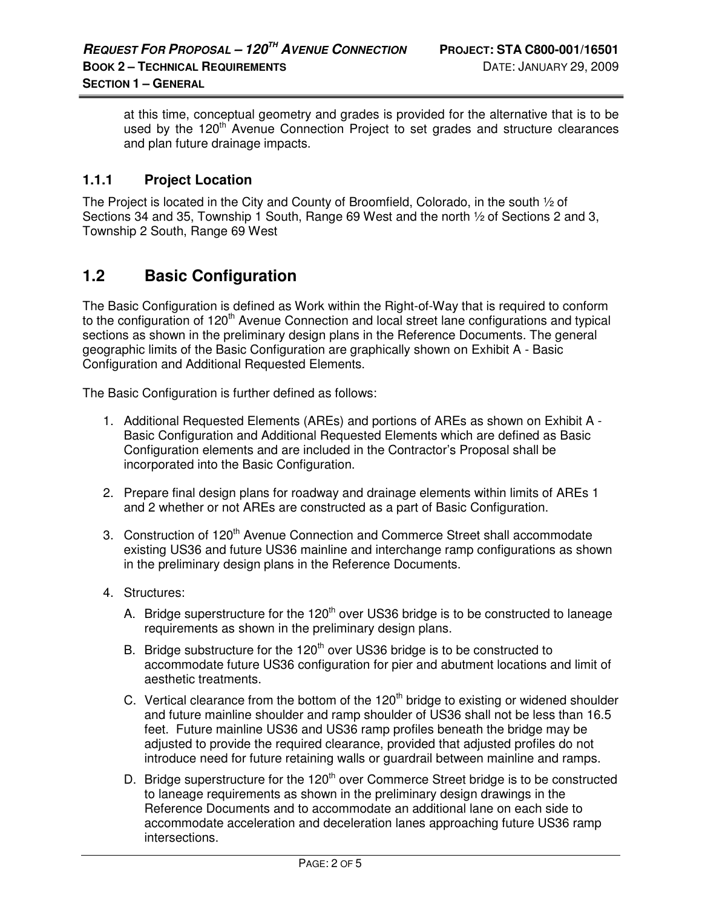at this time, conceptual geometry and grades is provided for the alternative that is to be used by the 120<sup>th</sup> Avenue Connection Project to set grades and structure clearances and plan future drainage impacts.

#### **1.1.1 Project Location**

The Project is located in the City and County of Broomfield, Colorado, in the south ½ of Sections 34 and 35, Township 1 South, Range 69 West and the north 1/2 of Sections 2 and 3, Township 2 South, Range 69 West

### **1.2 Basic Configuration**

The Basic Configuration is defined as Work within the Right-of-Way that is required to conform to the configuration of 120<sup>th</sup> Avenue Connection and local street lane configurations and typical sections as shown in the preliminary design plans in the Reference Documents. The general geographic limits of the Basic Configuration are graphically shown on Exhibit A - Basic Configuration and Additional Requested Elements.

The Basic Configuration is further defined as follows:

- 1. Additional Requested Elements (AREs) and portions of AREs as shown on Exhibit A Basic Configuration and Additional Requested Elements which are defined as Basic Configuration elements and are included in the Contractor's Proposal shall be incorporated into the Basic Configuration.
- 2. Prepare final design plans for roadway and drainage elements within limits of AREs 1 and 2 whether or not AREs are constructed as a part of Basic Configuration.
- 3. Construction of 120<sup>th</sup> Avenue Connection and Commerce Street shall accommodate existing US36 and future US36 mainline and interchange ramp configurations as shown in the preliminary design plans in the Reference Documents.
- 4. Structures:
	- A. Bridge superstructure for the 120<sup>th</sup> over US36 bridge is to be constructed to laneage requirements as shown in the preliminary design plans.
	- B. Bridge substructure for the  $120<sup>th</sup>$  over US36 bridge is to be constructed to accommodate future US36 configuration for pier and abutment locations and limit of aesthetic treatments.
	- C. Vertical clearance from the bottom of the 120<sup>th</sup> bridge to existing or widened shoulder and future mainline shoulder and ramp shoulder of US36 shall not be less than 16.5 feet. Future mainline US36 and US36 ramp profiles beneath the bridge may be adjusted to provide the required clearance, provided that adjusted profiles do not introduce need for future retaining walls or guardrail between mainline and ramps.
	- D. Bridge superstructure for the  $120<sup>th</sup>$  over Commerce Street bridge is to be constructed to laneage requirements as shown in the preliminary design drawings in the Reference Documents and to accommodate an additional lane on each side to accommodate acceleration and deceleration lanes approaching future US36 ramp intersections.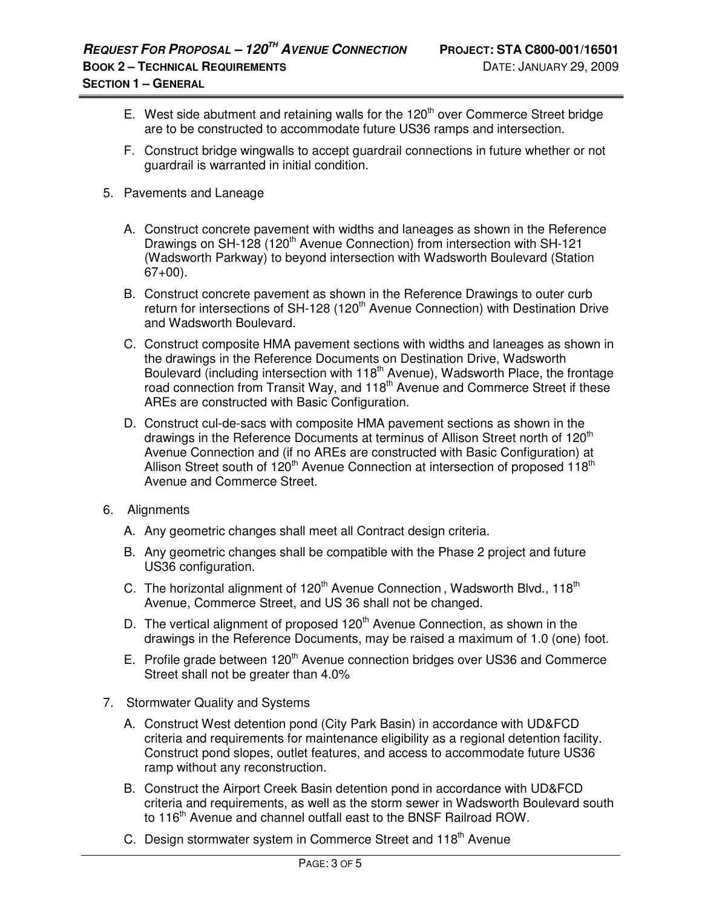- E. West side abutment and retaining walls for the  $120<sup>th</sup>$  over Commerce Street bridge are to be constructed to accommodate future US36 ramps and intersection.
- F. Construct bridge wingwalls to accept guardrail connections in future whether or not guardrail is warranted in initial condition.
- 5. Pavements and Laneage
	- A. Construct concrete pavement with widths and laneages as shown in the Reference Drawings on SH-128 (120<sup>th</sup> Avenue Connection) from intersection with SH-121 (Wadsworth Parkway) to beyond intersection with Wadsworth Boulevard (Station  $67+00$ ).
	- B. Construct concrete pavement as shown in the Reference Drawings to outer curb return for intersections of SH-128 (120<sup>th</sup> Avenue Connection) with Destination Drive and Wadsworth Boulevard.
	- C. Construct composite HMA pavement sections with widths and laneages as shown in the drawings in the Reference Documents on Destination Drive, Wadsworth Boulevard (including intersection with  $118<sup>th</sup>$  Avenue), Wadsworth Place, the frontage road connection from Transit Way, and 118<sup>th</sup> Avenue and Commerce Street if these AREs are constructed with Basic Configuration.
	- D. Construct cul-de-sacs with composite HMA pavement sections as shown in the drawings in the Reference Documents at terminus of Allison Street north of 120<sup>th</sup> Avenue Connection and (if no AREs are constructed with Basic Configuration) at Allison Street south of  $120<sup>th</sup>$  Avenue Connection at intersection of proposed  $118<sup>th</sup>$ Avenue and Commerce Street.
- 6. Alignments
	- A. Any geometric changes shall meet all Contract design criteria.
	- B. Any geometric changes shall be compatible with the Phase 2 project and future US36 configuration.
	- C. The horizontal alignment of  $120<sup>th</sup>$  Avenue Connection, Wadsworth Blvd.,  $118<sup>th</sup>$ Avenue, Commerce Street, and US 36 shall not be changed.
	- D. The vertical alignment of proposed 120<sup>th</sup> Avenue Connection, as shown in the drawings in the Reference Documents, may be raised a maximum of 1.0 (one) foot.
	- E. Profile grade between 120<sup>th</sup> Avenue connection bridges over US36 and Commerce Street shall not be greater than 4.0%
- 7. Stormwater Quality and Systems
	- A. Construct West detention pond (City Park Basin) in accordance with UD&FCD criteria and requirements for maintenance eligibility as a regional detention facility. Construct pond slopes, outlet features, and access to accommodate future US36 ramp without any reconstruction.
	- B. Construct the Airport Creek Basin detention pond in accordance with UD&FCD criteria and requirements, as well as the storm sewer in Wadsworth Boulevard south to 116<sup>th</sup> Avenue and channel outfall east to the BNSF Railroad ROW.
	- C. Design stormwater system in Commerce Street and 118<sup>th</sup> Avenue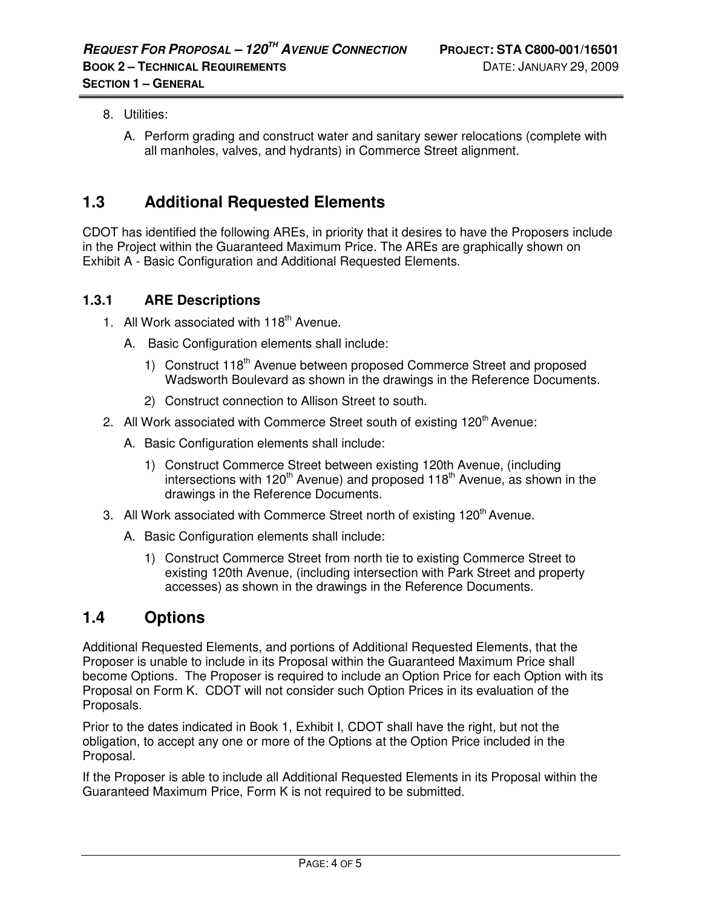- 8. Utilities:
	- A. Perform grading and construct water and sanitary sewer relocations (complete with all manholes, valves, and hydrants) in Commerce Street alignment.

# **1.3 Additional Requested Elements**

CDOT has identified the following AREs, in priority that it desires to have the Proposers include in the Project within the Guaranteed Maximum Price. The AREs are graphically shown on Exhibit A - Basic Configuration and Additional Requested Elements.

#### **1.3.1 ARE Descriptions**

- 1. All Work associated with  $118<sup>th</sup>$  Avenue.
	- A. Basic Configuration elements shall include:
		- 1) Construct 118<sup>th</sup> Avenue between proposed Commerce Street and proposed Wadsworth Boulevard as shown in the drawings in the Reference Documents.
		- 2) Construct connection to Allison Street to south.
- 2. All Work associated with Commerce Street south of existing  $120<sup>th</sup>$  Avenue:
	- A. Basic Configuration elements shall include:
		- 1) Construct Commerce Street between existing 120th Avenue, (including intersections with 120<sup>th</sup> Avenue) and proposed 118<sup>th</sup> Avenue, as shown in the drawings in the Reference Documents.
- 3. All Work associated with Commerce Street north of existing 120<sup>th</sup> Avenue.
	- A. Basic Configuration elements shall include:
		- 1) Construct Commerce Street from north tie to existing Commerce Street to existing 120th Avenue, (including intersection with Park Street and property accesses) as shown in the drawings in the Reference Documents.

### **1.4 Options**

Additional Requested Elements, and portions of Additional Requested Elements, that the Proposer is unable to include in its Proposal within the Guaranteed Maximum Price shall become Options. The Proposer is required to include an Option Price for each Option with its Proposal on Form K. CDOT will not consider such Option Prices in its evaluation of the Proposals.

Prior to the dates indicated in Book 1, Exhibit I, CDOT shall have the right, but not the obligation, to accept any one or more of the Options at the Option Price included in the Proposal.

If the Proposer is able to include all Additional Requested Elements in its Proposal within the Guaranteed Maximum Price, Form K is not required to be submitted.